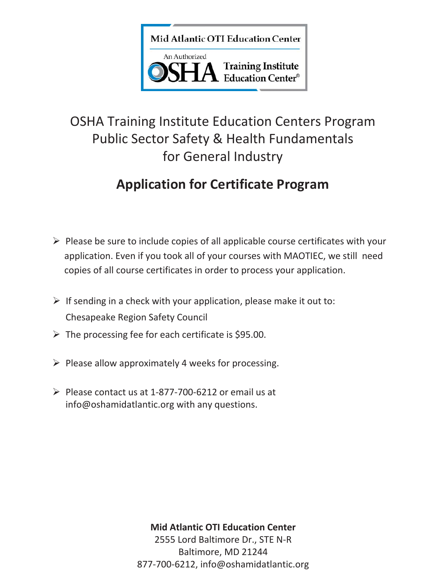Mid Atlantic OTI Education Center



# OSHA Training Institute Education Centers Program Public Sector Safety & Health Fundamentals for General Industry

# **Application for Certificate Program**

- $\triangleright$  Please be sure to include copies of all applicable course certificates with your application. Even if you took all of your courses with MAOTIEC, we still need copies of all course certificates in order to process your application.
- $\triangleright$  If sending in a check with your application, please make it out to: Chesapeake Region Safety Council
- $\triangleright$  The processing fee for each certificate is \$95.00.
- $\triangleright$  Please allow approximately 4 weeks for processing.
- $\triangleright$  Please contact us at 1-877-700-6212 or email us at info@oshamidatlantic.org with any questions.

**Mid Atlantic OTI Education Center**

2555 Lord Baltimore Dr., STE N-R Baltimore, MD 21244 877-700-6212, info@oshamidatlantic.org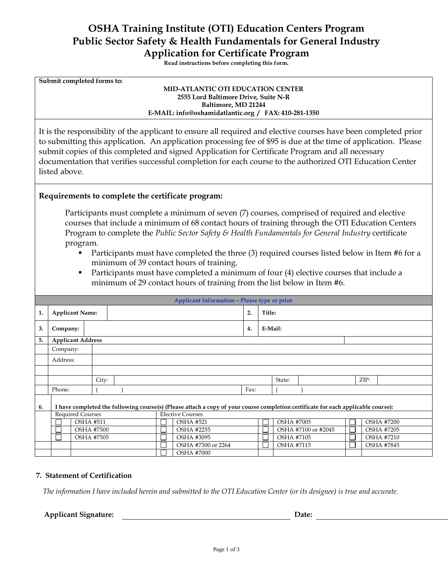# **OSHA Training Institute (OTI) Education Centers Program Public Sector Safety & Health Fundamentals for General Industry Application for Certificate Program**

**Read instructions before completing this form.** 

**Submit completed forms to:**

#### **MID-ATLANTIC OTI EDUCATION CENTER 2555 Lord Baltimore Drive, Suite N-R Baltimore, MD 21244 E-MAIL: info@oshamidatlantic.org / FAX: 410-281-1350**

It is the responsibility of the applicant to ensure all required and elective courses have been completed prior to submitting this application. An application processing fee of \$95 is due at the time of application. Please submit copies of this completed and signed Application for Certificate Program and all necessary documentation that verifies successful completion for each course to the authorized OTI Education Center listed above.

## **Requirements to complete the certificate program:**

Participants must complete a minimum of seven (7) courses, comprised of required and elective courses that include a minimum of 68 contact hours of training through the OTI Education Centers Program to complete the *Public Sector Safety & Health Fundamentals for General Industry* certificate program.

- Participants must have completed the three (3) required courses listed below in Item #6 for a minimum of 39 contact hours of training.
- **Participants must have completed a minimum of four (4) elective courses that include a** minimum of 29 contact hours of training from the list below in Item #6.

|    | <b>Applicant Information - Please type or print</b>                                                                                                                                     |       |              |                    |                   |    |                     |              |  |                   |  |  |
|----|-----------------------------------------------------------------------------------------------------------------------------------------------------------------------------------------|-------|--------------|--------------------|-------------------|----|---------------------|--------------|--|-------------------|--|--|
| 1. | <b>Applicant Name:</b>                                                                                                                                                                  |       |              |                    |                   | 2. | Title:              |              |  |                   |  |  |
| 3. | Company:                                                                                                                                                                                |       |              |                    |                   | 4. | E-Mail:             |              |  |                   |  |  |
| 5. | <b>Applicant Address</b>                                                                                                                                                                |       |              |                    |                   |    |                     |              |  |                   |  |  |
|    | Company:                                                                                                                                                                                |       |              |                    |                   |    |                     |              |  |                   |  |  |
|    | Address:                                                                                                                                                                                |       |              |                    |                   |    |                     |              |  |                   |  |  |
|    |                                                                                                                                                                                         |       |              |                    |                   |    |                     |              |  |                   |  |  |
|    |                                                                                                                                                                                         | City: |              |                    |                   |    |                     | State:       |  | ZIP:              |  |  |
|    | Phone:                                                                                                                                                                                  |       |              |                    | Fax:              |    |                     |              |  |                   |  |  |
| 6. | I have completed the following course(s) (Please attach a copy of your course completion certificate for each applicable course):<br><b>Required Courses</b><br><b>Elective Courses</b> |       |              |                    |                   |    |                     |              |  |                   |  |  |
|    | <b>OSHA #511</b>                                                                                                                                                                        |       | $\mathbf{L}$ | <b>OSHA #521</b>   |                   |    | <b>OSHA #7005</b>   |              |  | <b>OSHA #7200</b> |  |  |
|    | <b>OSHA #7500</b>                                                                                                                                                                       |       |              | <b>OSHA #2255</b>  |                   |    | OSHA #7100 or #2045 | $\mathbf{L}$ |  | <b>OSHA #7205</b> |  |  |
|    | <b>OSHA #7505</b>                                                                                                                                                                       |       | L            | <b>OSHA #3095</b>  |                   |    | <b>OSHA #7105</b>   | $\mathsf{L}$ |  | <b>OSHA #7210</b> |  |  |
|    |                                                                                                                                                                                         |       |              | OSHA #7300 or 2264 |                   |    | <b>OSHA #7115</b>   | $\mathsf{L}$ |  | <b>OSHA #7845</b> |  |  |
|    |                                                                                                                                                                                         |       |              |                    | <b>OSHA #7000</b> |    |                     |              |  |                   |  |  |

#### **7. Statement of Certification**

*The information I have included herein and submitted to the OTI Education Center (or its designee) is true and accurate.*

#### **Applicant Signature: Date:**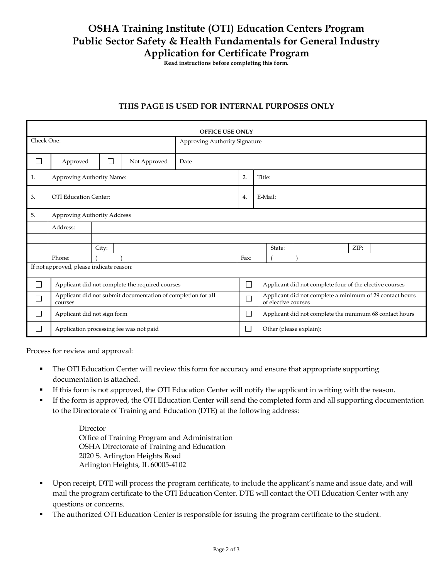# **OSHA Training Institute (OTI) Education Centers Program Public Sector Safety & Health Fundamentals for General Industry Application for Certificate Program**

**Read instructions before completing this form.** 

# **THIS PAGE IS USED FOR INTERNAL PURPOSES ONLY**

| <b>OFFICE USE ONLY</b>                   |                                                 |       |                                                              |                               |      |                                                                                 |        |  |      |  |
|------------------------------------------|-------------------------------------------------|-------|--------------------------------------------------------------|-------------------------------|------|---------------------------------------------------------------------------------|--------|--|------|--|
| Check One:                               |                                                 |       |                                                              | Approving Authority Signature |      |                                                                                 |        |  |      |  |
| П                                        | Approved                                        | П     | Date                                                         |                               |      |                                                                                 |        |  |      |  |
| 1.                                       | Approving Authority Name:                       |       |                                                              | 2.                            |      | Title:                                                                          |        |  |      |  |
| 3.                                       | OTI Education Center:                           |       |                                                              | 4.                            |      | E-Mail:                                                                         |        |  |      |  |
| 5.                                       | Approving Authority Address                     |       |                                                              |                               |      |                                                                                 |        |  |      |  |
|                                          | Address:                                        |       |                                                              |                               |      |                                                                                 |        |  |      |  |
|                                          |                                                 |       |                                                              |                               |      |                                                                                 |        |  |      |  |
|                                          |                                                 | City: |                                                              |                               |      |                                                                                 | State: |  | ZIP: |  |
|                                          | Phone:                                          |       |                                                              |                               | Fax: |                                                                                 |        |  |      |  |
| If not approved, please indicate reason: |                                                 |       |                                                              |                               |      |                                                                                 |        |  |      |  |
|                                          | Applicant did not complete the required courses |       |                                                              | $\Box$                        |      | Applicant did not complete four of the elective courses                         |        |  |      |  |
|                                          | courses                                         |       | Applicant did not submit documentation of completion for all | $\mathcal{L}_{\mathcal{A}}$   |      | Applicant did not complete a minimum of 29 contact hours<br>of elective courses |        |  |      |  |
|                                          | Applicant did not sign form                     |       |                                                              | П                             |      | Applicant did not complete the minimum 68 contact hours                         |        |  |      |  |
|                                          | Application processing fee was not paid         |       |                                                              | $\mathcal{L}_{\mathcal{A}}$   |      | Other (please explain):                                                         |        |  |      |  |

Process for review and approval:

- The OTI Education Center will review this form for accuracy and ensure that appropriate supporting documentation is attached.
- If this form is not approved, the OTI Education Center will notify the applicant in writing with the reason.
- If the form is approved, the OTI Education Center will send the completed form and all supporting documentation to the Directorate of Training and Education (DTE) at the following address:

Director Office of Training Program and Administration OSHA Directorate of Training and Education 2020 S. Arlington Heights Road Arlington Heights, IL 60005-4102

- Upon receipt, DTE will process the program certificate, to include the applicant's name and issue date, and will mail the program certificate to the OTI Education Center. DTE will contact the OTI Education Center with any questions or concerns.
- The authorized OTI Education Center is responsible for issuing the program certificate to the student.